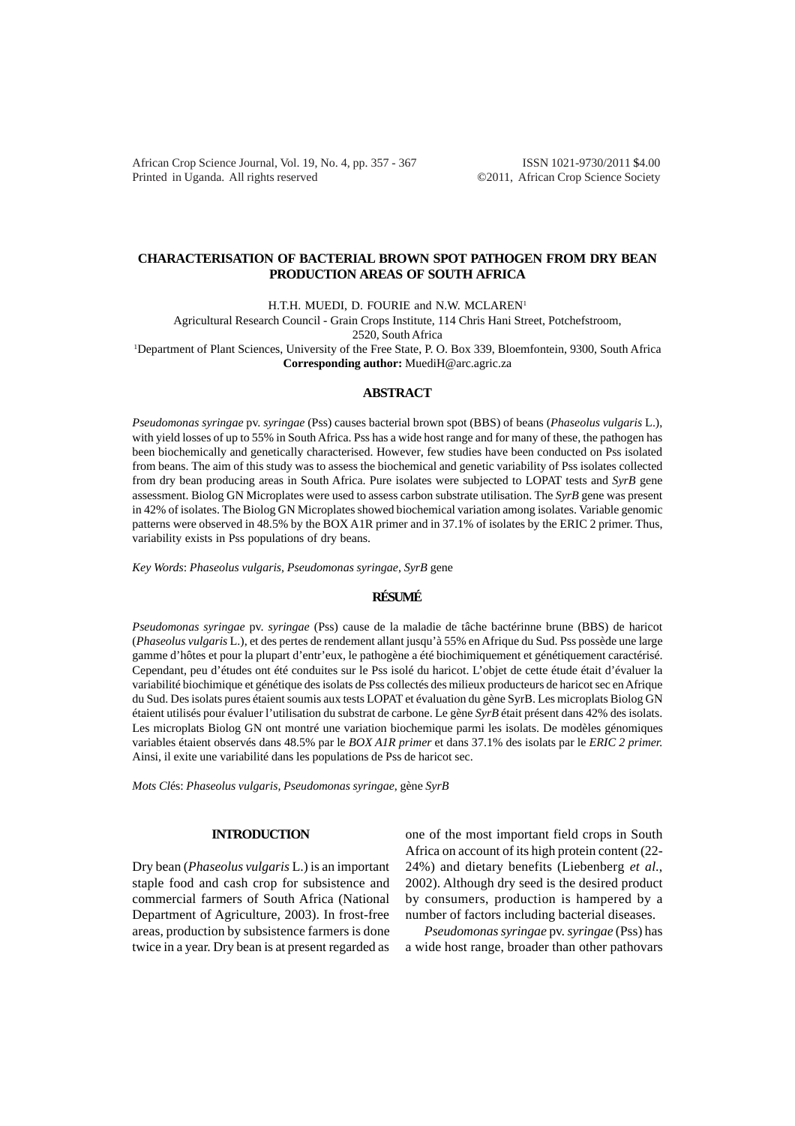African Crop Science Journal, Vol. 19, No. 4, pp. 357 - 367 ISSN 1021-9730/2011 \$4.00 Printed in Uganda. All rights reserved ©2011, African Crop Science Society

# **CHARACTERISATION OF BACTERIAL BROWN SPOT PATHOGEN FROM DRY BEAN PRODUCTION AREAS OF SOUTH AFRICA**

H.T.H. MUEDI, D. FOURIE and N.W. MCLAREN<sup>1</sup>

Agricultural Research Council - Grain Crops Institute, 114 Chris Hani Street, Potchefstroom,

2520, South Africa

1 Department of Plant Sciences, University of the Free State, P. O. Box 339, Bloemfontein, 9300, South Africa **Corresponding author:** MuediH@arc.agric.za

#### **ABSTRACT**

*Pseudomonas syringae* pv. *syringae* (Pss) causes bacterial brown spot (BBS) of beans (*Phaseolus vulgaris* L.), with yield losses of up to 55% in South Africa. Pss has a wide host range and for many of these, the pathogen has been biochemically and genetically characterised. However, few studies have been conducted on Pss isolated from beans. The aim of this study was to assess the biochemical and genetic variability of Pss isolates collected from dry bean producing areas in South Africa. Pure isolates were subjected to LOPAT tests and *SyrB* gene assessment. Biolog GN Microplates were used to assess carbon substrate utilisation. The *SyrB* gene was present in 42% of isolates. The Biolog GN Microplates showed biochemical variation among isolates. Variable genomic patterns were observed in 48.5% by the BOX A1R primer and in 37.1% of isolates by the ERIC 2 primer. Thus, variability exists in Pss populations of dry beans.

*Key Words*: *Phaseolus vulgaris, Pseudomonas syringae*, *SyrB* gene

# **RÉSUMÉ**

*Pseudomonas syringae* pv. *syringae* (Pss) cause de la maladie de tâche bactérinne brune (BBS) de haricot (*Phaseolus vulgaris* L.), et des pertes de rendement allant jusqu'à 55% en Afrique du Sud. Pss possède une large gamme d'hôtes et pour la plupart d'entr'eux, le pathogène a été biochimiquement et génétiquement caractérisé. Cependant, peu d'études ont été conduites sur le Pss isolé du haricot. L'objet de cette étude était d'évaluer la variabilité biochimique et génétique des isolats de Pss collectés des milieux producteurs de haricot sec en Afrique du Sud. Des isolats pures étaient soumis aux tests LOPAT et évaluation du gène SyrB. Les microplats Biolog GN étaient utilisés pour évaluer l'utilisation du substrat de carbone. Le gène *SyrB* était présent dans 42% des isolats. Les microplats Biolog GN ont montré une variation biochemique parmi les isolats. De modèles génomiques variables étaient observés dans 48.5% par le *BOX A1R primer* et dans 37.1% des isolats par le *ERIC 2 primer.* Ainsi, il exite une variabilité dans les populations de Pss de haricot sec.

*Mots Cl*és: *Phaseolus vulgaris, Pseudomonas syringae*, gène *SyrB*

# **INTRODUCTION**

Dry bean (*Phaseolus vulgaris* L.) is an important staple food and cash crop for subsistence and commercial farmers of South Africa (National Department of Agriculture, 2003). In frost-free areas, production by subsistence farmers is done twice in a year. Dry bean is at present regarded as

one of the most important field crops in South Africa on account of its high protein content (22- 24%) and dietary benefits (Liebenberg *et al*., 2002). Although dry seed is the desired product by consumers, production is hampered by a number of factors including bacterial diseases.

*Pseudomonas syringae* pv. *syringae* (Pss) has a wide host range, broader than other pathovars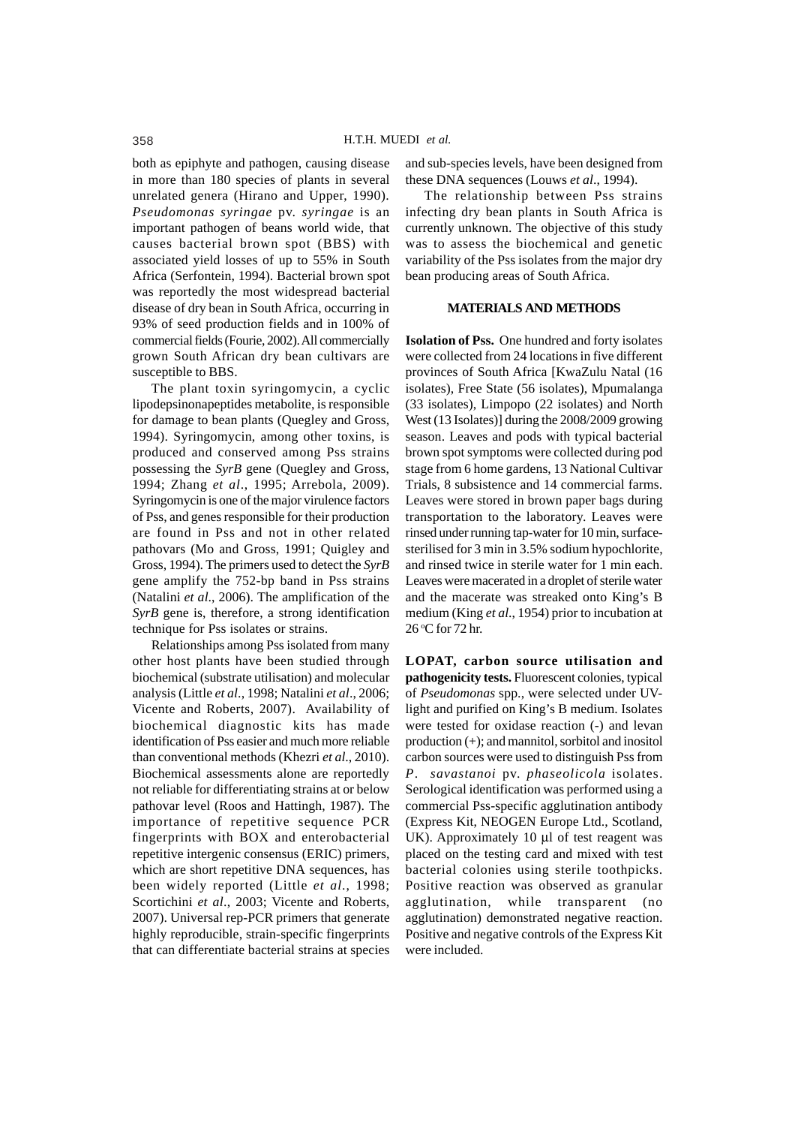both as epiphyte and pathogen, causing disease in more than 180 species of plants in several unrelated genera (Hirano and Upper, 1990). *Pseudomonas syringae* pv. *syringae* is an important pathogen of beans world wide, that causes bacterial brown spot (BBS) with associated yield losses of up to 55% in South Africa (Serfontein, 1994). Bacterial brown spot was reportedly the most widespread bacterial disease of dry bean in South Africa, occurring in 93% of seed production fields and in 100% of commercial fields (Fourie, 2002). All commercially grown South African dry bean cultivars are susceptible to BBS.

The plant toxin syringomycin, a cyclic lipodepsinonapeptides metabolite, is responsible for damage to bean plants (Quegley and Gross, 1994). Syringomycin, among other toxins, is produced and conserved among Pss strains possessing the *SyrB* gene (Quegley and Gross, 1994; Zhang *et al*., 1995; Arrebola, 2009). Syringomycin is one of the major virulence factors of Pss, and genes responsible for their production are found in Pss and not in other related pathovars (Mo and Gross, 1991; Quigley and Gross, 1994). The primers used to detect the *SyrB* gene amplify the 752-bp band in Pss strains (Natalini *et al*., 2006). The amplification of the *SyrB* gene is, therefore, a strong identification technique for Pss isolates or strains.

Relationships among Pss isolated from many other host plants have been studied through biochemical (substrate utilisation) and molecular analysis (Little *et al*., 1998; Natalini *et al*., 2006; Vicente and Roberts, 2007). Availability of biochemical diagnostic kits has made identification of Pss easier and much more reliable than conventional methods (Khezri *et al*., 2010). Biochemical assessments alone are reportedly not reliable for differentiating strains at or below pathovar level (Roos and Hattingh, 1987). The importance of repetitive sequence PCR fingerprints with BOX and enterobacterial repetitive intergenic consensus (ERIC) primers, which are short repetitive DNA sequences, has been widely reported (Little *et al*., 1998; Scortichini *et al*., 2003; Vicente and Roberts, 2007). Universal rep-PCR primers that generate highly reproducible, strain-specific fingerprints that can differentiate bacterial strains at species

and sub-species levels, have been designed from these DNA sequences (Louws *et al*., 1994).

The relationship between Pss strains infecting dry bean plants in South Africa is currently unknown. The objective of this study was to assess the biochemical and genetic variability of the Pss isolates from the major dry bean producing areas of South Africa.

# **MATERIALS AND METHODS**

**Isolation of Pss.** One hundred and forty isolates were collected from 24 locations in five different provinces of South Africa [KwaZulu Natal (16 isolates), Free State (56 isolates), Mpumalanga (33 isolates), Limpopo (22 isolates) and North West (13 Isolates)] during the 2008/2009 growing season. Leaves and pods with typical bacterial brown spot symptoms were collected during pod stage from 6 home gardens, 13 National Cultivar Trials, 8 subsistence and 14 commercial farms. Leaves were stored in brown paper bags during transportation to the laboratory. Leaves were rinsed under running tap-water for 10 min, surfacesterilised for 3 min in 3.5% sodium hypochlorite, and rinsed twice in sterile water for 1 min each. Leaves were macerated in a droplet of sterile water and the macerate was streaked onto King's B medium (King *et al*., 1954) prior to incubation at 26 <sup>o</sup> C for 72 hr.

**LOPAT, carbon source utilisation and pathogenicity tests.** Fluorescent colonies, typical of *Pseudomonas* spp., were selected under UVlight and purified on King's B medium. Isolates were tested for oxidase reaction (-) and levan production (+); and mannitol, sorbitol and inositol carbon sources were used to distinguish Pss from *P*. *savastanoi* pv. *phaseolicola* isolates. Serological identification was performed using a commercial Pss-specific agglutination antibody (Express Kit, NEOGEN Europe Ltd., Scotland, UK). Approximately 10 µl of test reagent was placed on the testing card and mixed with test bacterial colonies using sterile toothpicks. Positive reaction was observed as granular agglutination, while transparent (no agglutination) demonstrated negative reaction. Positive and negative controls of the Express Kit were included.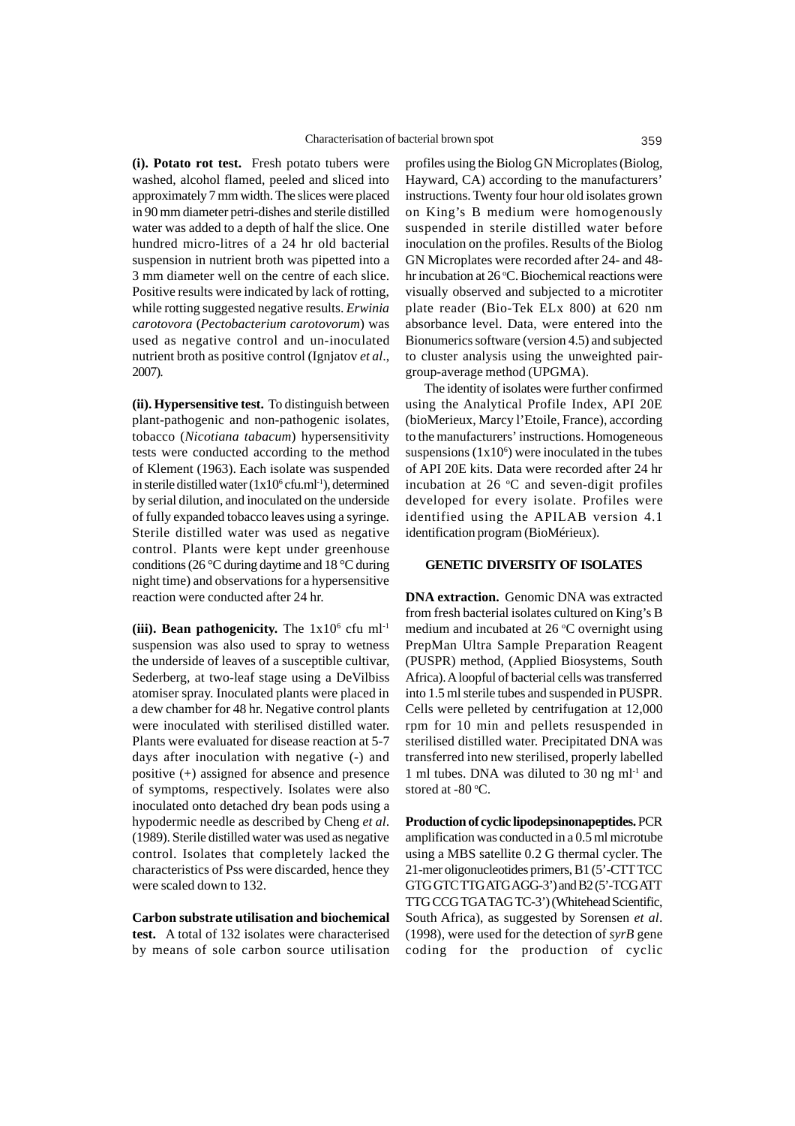**(i). Potato rot test.** Fresh potato tubers were washed, alcohol flamed, peeled and sliced into approximately 7 mm width. The slices were placed in 90 mm diameter petri-dishes and sterile distilled water was added to a depth of half the slice. One hundred micro-litres of a 24 hr old bacterial suspension in nutrient broth was pipetted into a 3 mm diameter well on the centre of each slice. Positive results were indicated by lack of rotting, while rotting suggested negative results. *Erwinia carotovora* (*Pectobacterium carotovorum*) was used as negative control and un-inoculated nutrient broth as positive control (Ignjatov *et al*., 2007).

**(ii). Hypersensitive test.** To distinguish between plant-pathogenic and non-pathogenic isolates, tobacco (*Nicotiana tabacum*) hypersensitivity tests were conducted according to the method of Klement (1963). Each isolate was suspended in sterile distilled water  $(1x10^6$  cfu.ml<sup>-1</sup>), determined by serial dilution, and inoculated on the underside of fully expanded tobacco leaves using a syringe. Sterile distilled water was used as negative control. Plants were kept under greenhouse conditions (26 °C during daytime and 18 °C during night time) and observations for a hypersensitive reaction were conducted after 24 hr.

(iii). Bean pathogenicity. The  $1x10^6$  cfu m $1^{-1}$ suspension was also used to spray to wetness the underside of leaves of a susceptible cultivar, Sederberg, at two-leaf stage using a DeVilbiss atomiser spray. Inoculated plants were placed in a dew chamber for 48 hr. Negative control plants were inoculated with sterilised distilled water. Plants were evaluated for disease reaction at 5-7 days after inoculation with negative (-) and positive (+) assigned for absence and presence of symptoms, respectively. Isolates were also inoculated onto detached dry bean pods using a hypodermic needle as described by Cheng *et al*. (1989). Sterile distilled water was used as negative control. Isolates that completely lacked the characteristics of Pss were discarded, hence they were scaled down to 132.

**Carbon substrate utilisation and biochemical test.** A total of 132 isolates were characterised by means of sole carbon source utilisation

profiles using the Biolog GN Microplates (Biolog, Hayward, CA) according to the manufacturers' instructions. Twenty four hour old isolates grown on King's B medium were homogenously suspended in sterile distilled water before inoculation on the profiles. Results of the Biolog GN Microplates were recorded after 24- and 48 hr incubation at 26 °C. Biochemical reactions were visually observed and subjected to a microtiter plate reader (Bio-Tek ELx 800) at 620 nm absorbance level. Data, were entered into the Bionumerics software (version 4.5) and subjected to cluster analysis using the unweighted pairgroup-average method (UPGMA).

The identity of isolates were further confirmed using the Analytical Profile Index, API 20E (bioMerieux, Marcy l'Etoile, France), according to the manufacturers' instructions. Homogeneous suspensions  $(1x10<sup>6</sup>)$  were inoculated in the tubes of API 20E kits. Data were recorded after 24 hr incubation at  $26 \text{ °C}$  and seven-digit profiles developed for every isolate. Profiles were identified using the APILAB version 4.1 identification program (BioMérieux).

### **GENETIC DIVERSITY OF ISOLATES**

**DNA extraction.** Genomic DNA was extracted from fresh bacterial isolates cultured on King's B medium and incubated at 26 °C overnight using PrepMan Ultra Sample Preparation Reagent (PUSPR) method, (Applied Biosystems, South Africa). A loopful of bacterial cells was transferred into 1.5 ml sterile tubes and suspended in PUSPR. Cells were pelleted by centrifugation at 12,000 rpm for 10 min and pellets resuspended in sterilised distilled water. Precipitated DNA was transferred into new sterilised, properly labelled 1 ml tubes. DNA was diluted to 30 ng  $ml<sup>-1</sup>$  and stored at  $-80$  °C.

**Production of cyclic lipodepsinonapeptides.** PCR amplification was conducted in a 0.5 ml microtube using a MBS satellite 0.2 G thermal cycler. The 21-mer oligonucleotides primers, B1 (5'-CTT TCC GTG GTC TTG ATG AGG-3') and B2 (5'-TCG ATT TTG CCG TGA TAG TC-3') (Whitehead Scientific, South Africa), as suggested by Sorensen *et al*. (1998), were used for the detection of *syrB* gene coding for the production of cyclic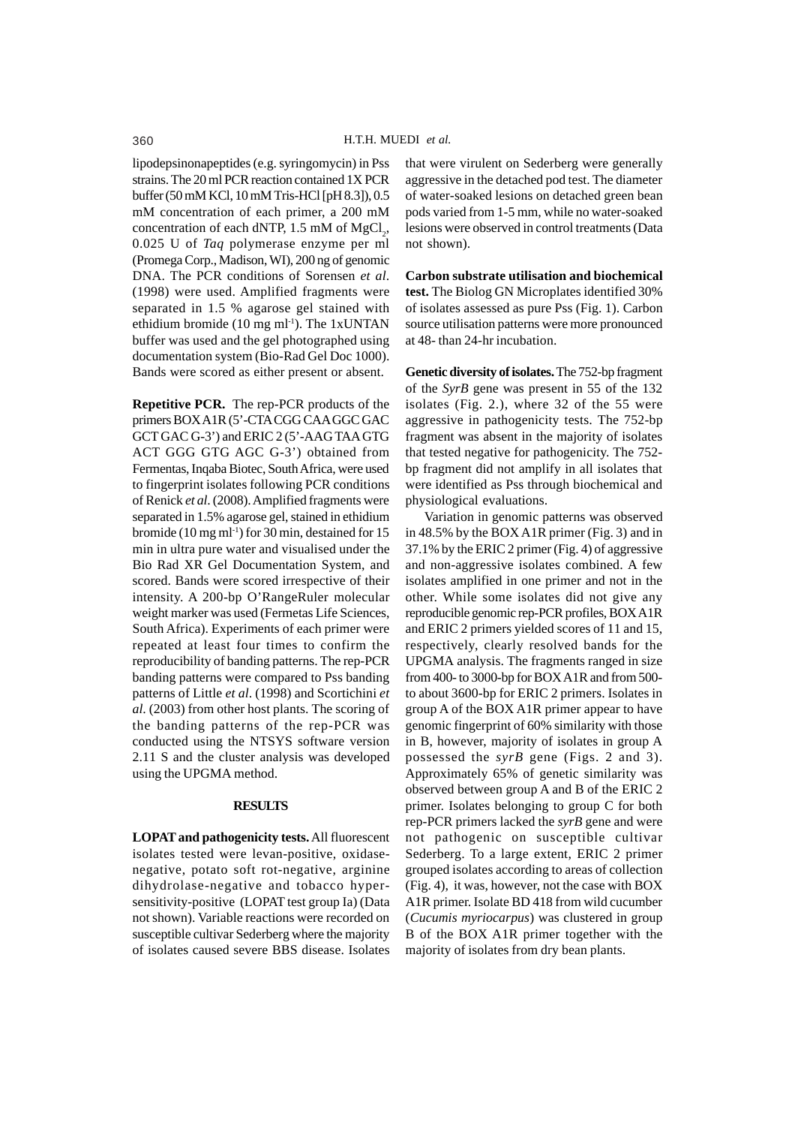lipodepsinonapeptides (e.g. syringomycin) in Pss strains. The 20 ml PCR reaction contained 1X PCR buffer (50 mM KCl, 10 mM Tris-HCl [pH 8.3]), 0.5 mM concentration of each primer, a 200 mM concentration of each dNTP,  $1.5 \text{ mM of MgCl}_2$ , 0.025 U of *Taq* polymerase enzyme per ml (Promega Corp., Madison, WI), 200 ng of genomic DNA. The PCR conditions of Sorensen *et al*. (1998) were used. Amplified fragments were separated in 1.5 % agarose gel stained with ethidium bromide (10 mg ml<sup>-1</sup>). The 1xUNTAN buffer was used and the gel photographed using documentation system (Bio-Rad Gel Doc 1000). Bands were scored as either present or absent.

**Repetitive PCR.** The rep-PCR products of the primers BOX A1R (5'-CTA CGG CAA GGC GAC GCT GAC G-3') and ERIC 2 (5'-AAG TAA GTG ACT GGG GTG AGC G-3') obtained from Fermentas, Inqaba Biotec, South Africa, were used to fingerprint isolates following PCR conditions of Renick *et al*. (2008). Amplified fragments were separated in 1.5% agarose gel, stained in ethidium bromide (10 mg ml<sup>-1</sup>) for 30 min, destained for 15 min in ultra pure water and visualised under the Bio Rad XR Gel Documentation System, and scored. Bands were scored irrespective of their intensity. A 200-bp O'RangeRuler molecular weight marker was used (Fermetas Life Sciences, South Africa). Experiments of each primer were repeated at least four times to confirm the reproducibility of banding patterns. The rep-PCR banding patterns were compared to Pss banding patterns of Little *et al*. (1998) and Scortichini *et al*. (2003) from other host plants. The scoring of the banding patterns of the rep-PCR was conducted using the NTSYS software version 2.11 S and the cluster analysis was developed using the UPGMA method.

#### **RESULTS**

**LOPAT and pathogenicity tests.** All fluorescent isolates tested were levan-positive, oxidasenegative, potato soft rot-negative, arginine dihydrolase-negative and tobacco hypersensitivity-positive (LOPAT test group Ia) (Data not shown). Variable reactions were recorded on susceptible cultivar Sederberg where the majority of isolates caused severe BBS disease. Isolates that were virulent on Sederberg were generally aggressive in the detached pod test. The diameter of water-soaked lesions on detached green bean pods varied from 1-5 mm, while no water-soaked lesions were observed in control treatments (Data not shown).

**Carbon substrate utilisation and biochemical test.** The Biolog GN Microplates identified 30% of isolates assessed as pure Pss (Fig. 1). Carbon source utilisation patterns were more pronounced at 48- than 24-hr incubation.

**Genetic diversity of isolates.** The 752-bp fragment of the *SyrB* gene was present in 55 of the 132 isolates (Fig. 2.), where 32 of the 55 were aggressive in pathogenicity tests. The 752-bp fragment was absent in the majority of isolates that tested negative for pathogenicity. The 752 bp fragment did not amplify in all isolates that were identified as Pss through biochemical and physiological evaluations.

Variation in genomic patterns was observed in 48.5% by the BOX A1R primer (Fig. 3) and in 37.1% by the ERIC 2 primer (Fig. 4) of aggressive and non-aggressive isolates combined. A few isolates amplified in one primer and not in the other. While some isolates did not give any reproducible genomic rep-PCR profiles, BOX A1R and ERIC 2 primers yielded scores of 11 and 15, respectively, clearly resolved bands for the UPGMA analysis. The fragments ranged in size from 400- to 3000-bp for BOX A1R and from 500 to about 3600-bp for ERIC 2 primers. Isolates in group A of the BOX A1R primer appear to have genomic fingerprint of 60% similarity with those in B, however, majority of isolates in group A possessed the *syrB* gene (Figs. 2 and 3). Approximately 65% of genetic similarity was observed between group A and B of the ERIC 2 primer. Isolates belonging to group C for both rep-PCR primers lacked the *syrB* gene and were not pathogenic on susceptible cultivar Sederberg. To a large extent, ERIC 2 primer grouped isolates according to areas of collection (Fig. 4), it was, however, not the case with BOX A1R primer. Isolate BD 418 from wild cucumber (*Cucumis myriocarpus*) was clustered in group B of the BOX A1R primer together with the majority of isolates from dry bean plants.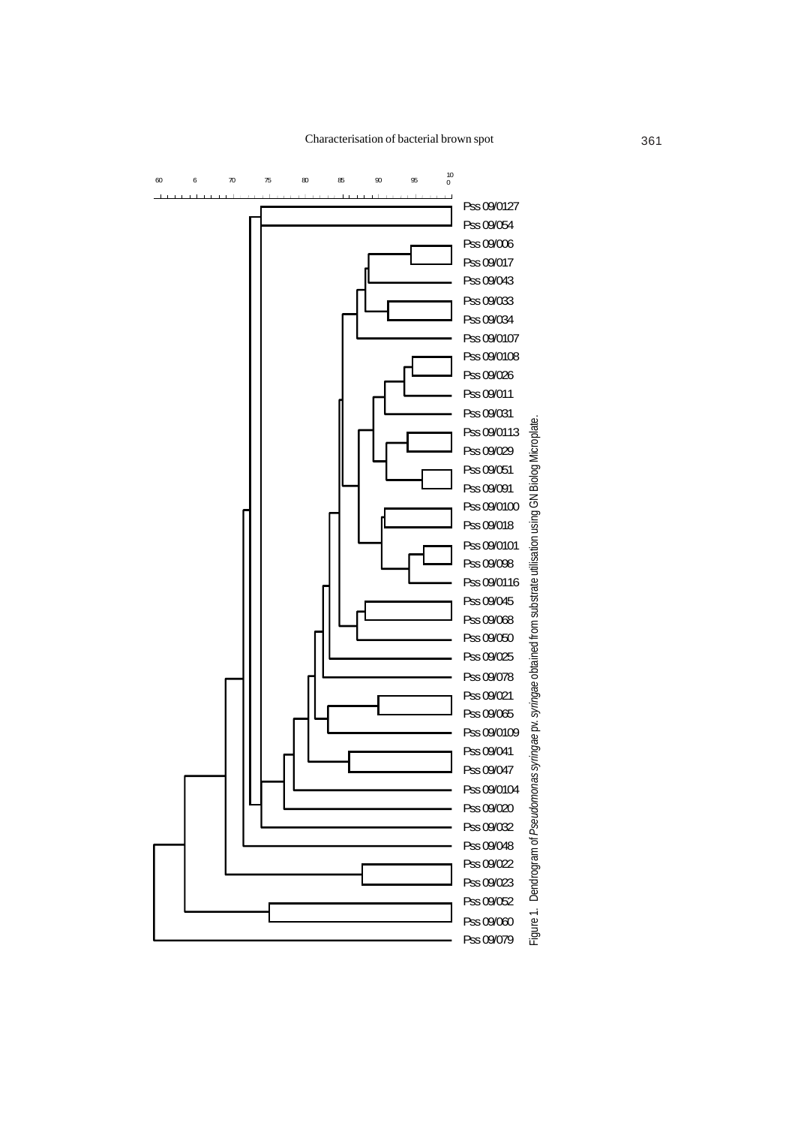Characterisation of bacterial brown spot 361

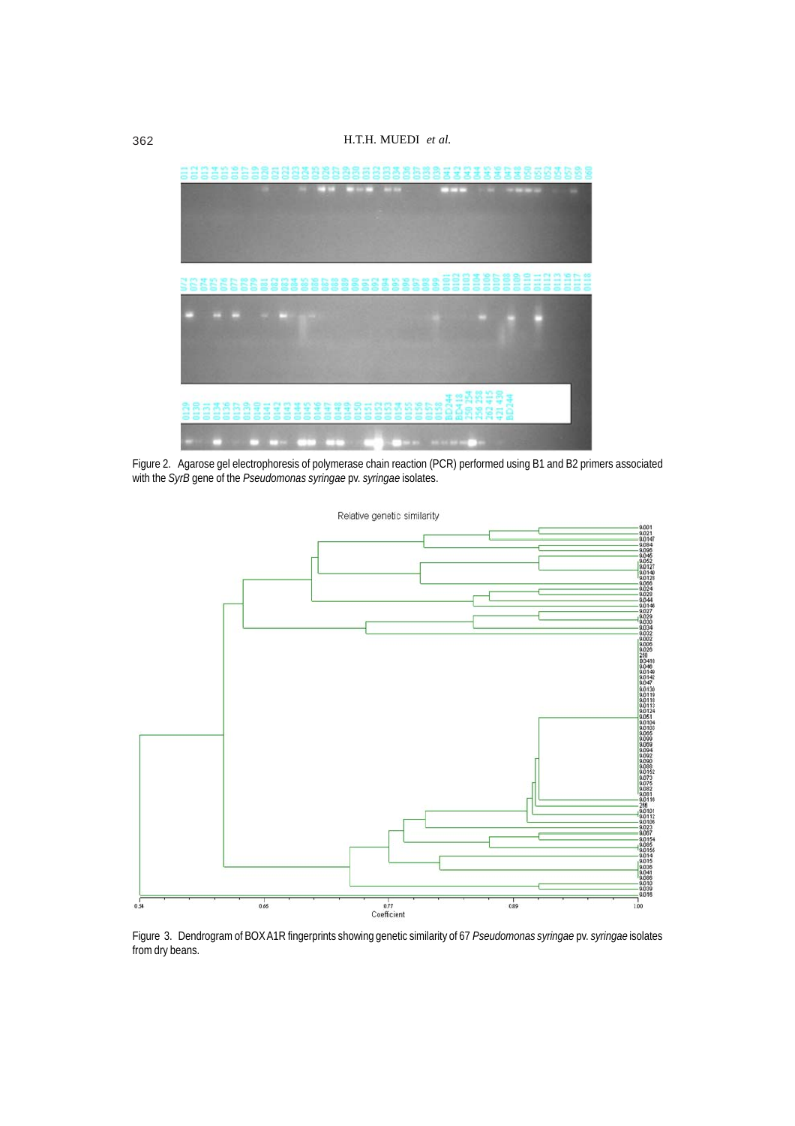

Figure 2. Agarose gel electrophoresis of polymerase chain reaction (PCR) performed using B1 and B2 primers associated with the *SyrB* gene of the *Pseudomonas syringae* pv. *syringae* isolates.



Figure 3. Dendrogram of BOX A1R fingerprints showing genetic similarity of 67 *Pseudomonas syringae* pv. *syringae* isolates from dry beans.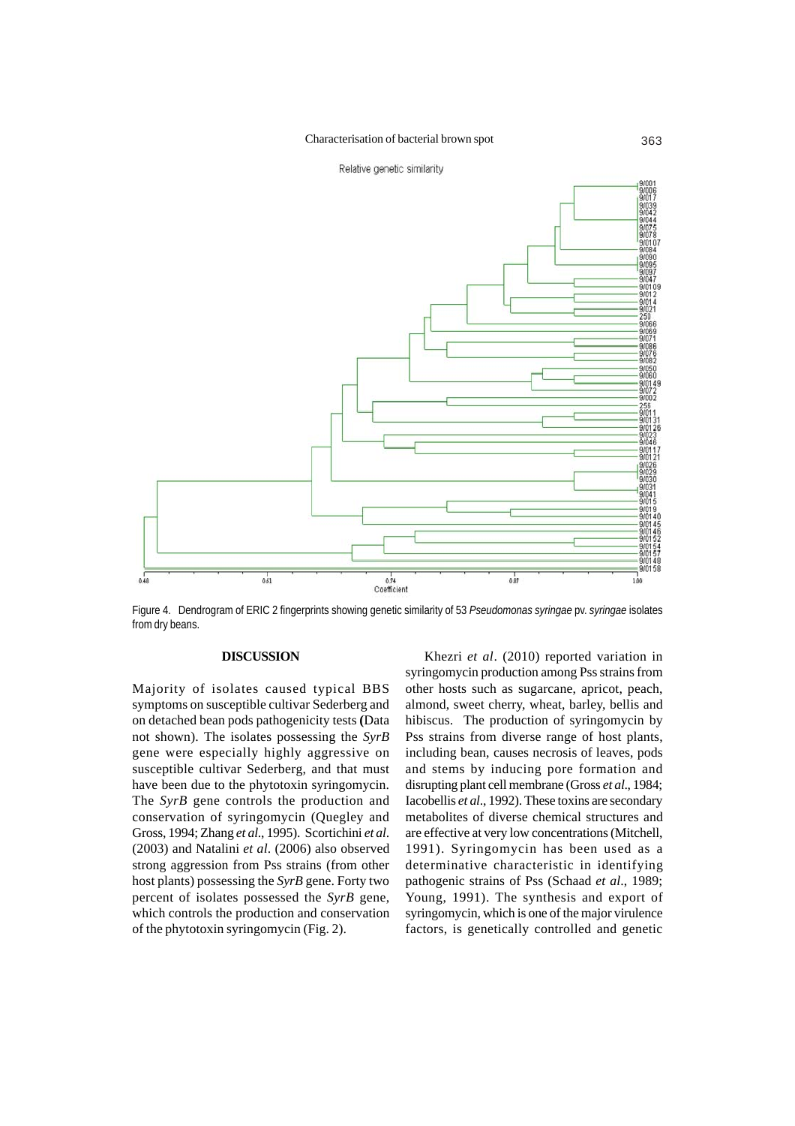

Figure 4. Dendrogram of ERIC 2 fingerprints showing genetic similarity of 53 *Pseudomonas syringae* pv. *syringae* isolates from dry beans.

# **DISCUSSION**

Majority of isolates caused typical BBS symptoms on susceptible cultivar Sederberg and on detached bean pods pathogenicity tests **(**Data not shown). The isolates possessing the *SyrB* gene were especially highly aggressive on susceptible cultivar Sederberg, and that must have been due to the phytotoxin syringomycin. The *SyrB* gene controls the production and conservation of syringomycin (Quegley and Gross, 1994; Zhang *et al*., 1995). Scortichini *et al*. (2003) and Natalini *et al*. (2006) also observed strong aggression from Pss strains (from other host plants) possessing the *SyrB* gene. Forty two percent of isolates possessed the *SyrB* gene, which controls the production and conservation of the phytotoxin syringomycin (Fig. 2).

Khezri *et al*. (2010) reported variation in syringomycin production among Pss strains from other hosts such as sugarcane, apricot, peach, almond, sweet cherry, wheat, barley, bellis and hibiscus. The production of syringomycin by Pss strains from diverse range of host plants, including bean, causes necrosis of leaves, pods and stems by inducing pore formation and disrupting plant cell membrane (Gross *et al*., 1984; Iacobellis *et al*., 1992). These toxins are secondary metabolites of diverse chemical structures and are effective at very low concentrations (Mitchell, 1991). Syringomycin has been used as a determinative characteristic in identifying pathogenic strains of Pss (Schaad *et al*., 1989; Young, 1991). The synthesis and export of syringomycin, which is one of the major virulence factors, is genetically controlled and genetic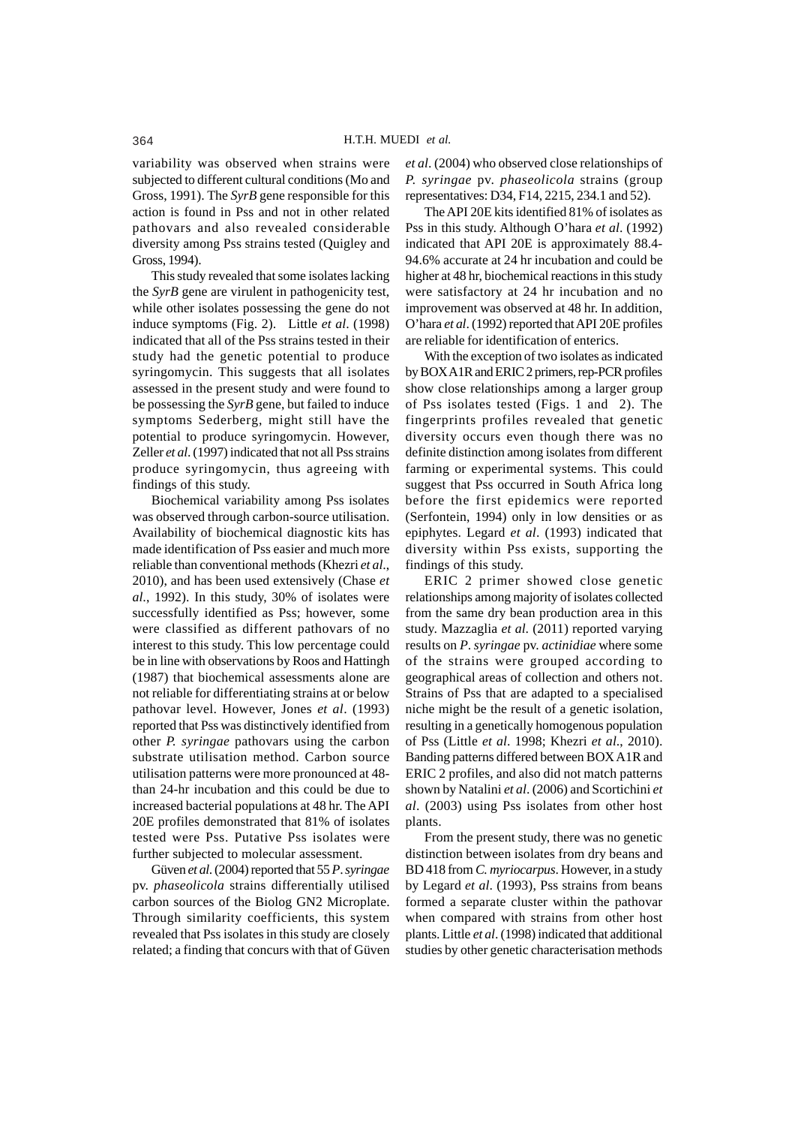variability was observed when strains were subjected to different cultural conditions (Mo and Gross, 1991). The *SyrB* gene responsible for this action is found in Pss and not in other related pathovars and also revealed considerable diversity among Pss strains tested (Quigley and Gross, 1994).

This study revealed that some isolates lacking the *SyrB* gene are virulent in pathogenicity test, while other isolates possessing the gene do not induce symptoms (Fig. 2). Little *et al*. (1998) indicated that all of the Pss strains tested in their study had the genetic potential to produce syringomycin. This suggests that all isolates assessed in the present study and were found to be possessing the *SyrB* gene, but failed to induce symptoms Sederberg, might still have the potential to produce syringomycin. However, Zeller *et al*. (1997) indicated that not all Pss strains produce syringomycin, thus agreeing with findings of this study.

Biochemical variability among Pss isolates was observed through carbon-source utilisation. Availability of biochemical diagnostic kits has made identification of Pss easier and much more reliable than conventional methods (Khezri *et al*., 2010), and has been used extensively (Chase *et al*., 1992). In this study, 30% of isolates were successfully identified as Pss; however, some were classified as different pathovars of no interest to this study. This low percentage could be in line with observations by Roos and Hattingh (1987) that biochemical assessments alone are not reliable for differentiating strains at or below pathovar level. However, Jones *et al*. (1993) reported that Pss was distinctively identified from other *P. syringae* pathovars using the carbon substrate utilisation method. Carbon source utilisation patterns were more pronounced at 48 than 24-hr incubation and this could be due to increased bacterial populations at 48 hr. The API 20E profiles demonstrated that 81% of isolates tested were Pss. Putative Pss isolates were further subjected to molecular assessment.

Güven *et al*. (2004) reported that 55 *P*.*syringae* pv. *phaseolicola* strains differentially utilised carbon sources of the Biolog GN2 Microplate. Through similarity coefficients, this system revealed that Pss isolates in this study are closely related; a finding that concurs with that of Güven *et al*. (2004) who observed close relationships of *P. syringae* pv. *phaseolicola* strains (group representatives: D34, F14, 2215, 234.1 and 52).

The API 20E kits identified 81% of isolates as Pss in this study. Although O'hara *et al*. (1992) indicated that API 20E is approximately 88.4- 94.6% accurate at 24 hr incubation and could be higher at 48 hr, biochemical reactions in this study were satisfactory at 24 hr incubation and no improvement was observed at 48 hr. In addition, O'hara *et al*. (1992) reported that API 20E profiles are reliable for identification of enterics.

With the exception of two isolates as indicated by BOX A1R and ERIC 2 primers, rep-PCR profiles show close relationships among a larger group of Pss isolates tested (Figs. 1 and 2). The fingerprints profiles revealed that genetic diversity occurs even though there was no definite distinction among isolates from different farming or experimental systems. This could suggest that Pss occurred in South Africa long before the first epidemics were reported (Serfontein, 1994) only in low densities or as epiphytes. Legard *et al*. (1993) indicated that diversity within Pss exists, supporting the findings of this study.

ERIC 2 primer showed close genetic relationships among majority of isolates collected from the same dry bean production area in this study. Mazzaglia *et al*. (2011) reported varying results on *P*.*syringae* pv. *actinidiae* where some of the strains were grouped according to geographical areas of collection and others not. Strains of Pss that are adapted to a specialised niche might be the result of a genetic isolation, resulting in a genetically homogenous population of Pss (Little *et al*. 1998; Khezri *et al*., 2010). Banding patterns differed between BOX A1R and ERIC 2 profiles, and also did not match patterns shown by Natalini *et al*. (2006) and Scortichini *et al*. (2003) using Pss isolates from other host plants.

From the present study, there was no genetic distinction between isolates from dry beans and BD 418 from *C. myriocarpus*. However, in a study by Legard *et al*. (1993), Pss strains from beans formed a separate cluster within the pathovar when compared with strains from other host plants. Little *et al*. (1998) indicated that additional studies by other genetic characterisation methods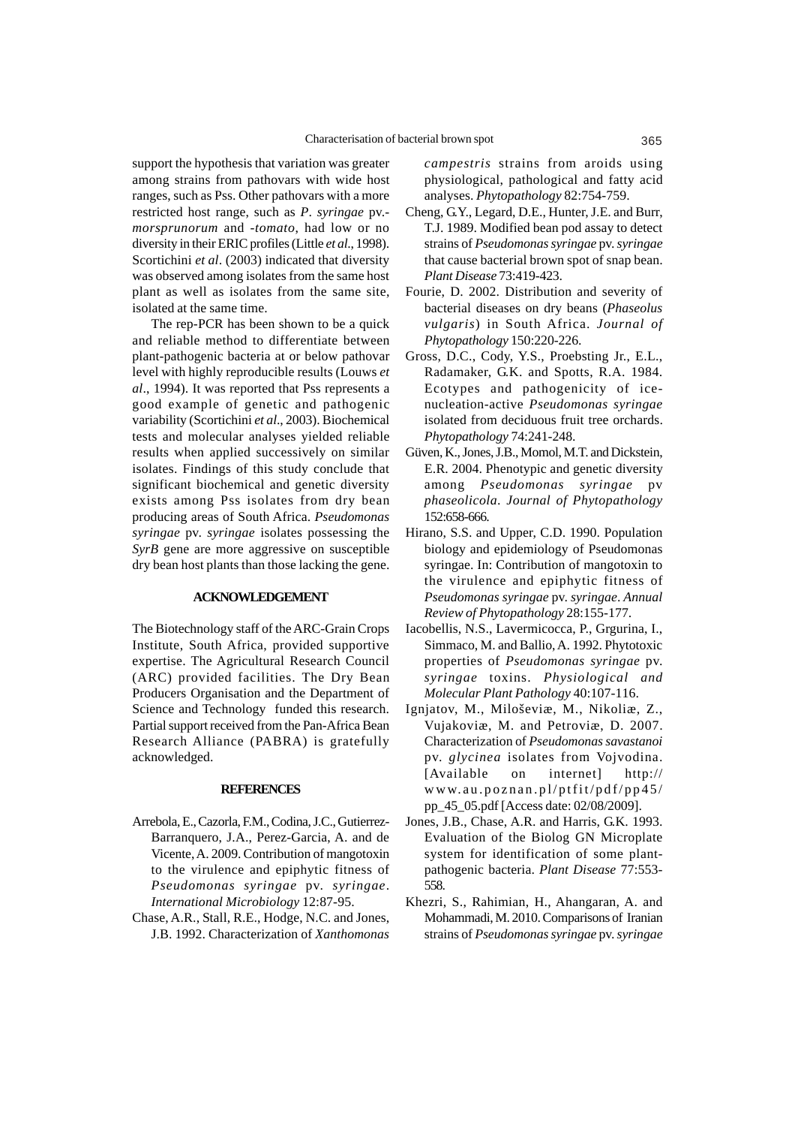support the hypothesis that variation was greater among strains from pathovars with wide host ranges, such as Pss. Other pathovars with a more restricted host range, such as *P*. *syringae* pv. *morsprunorum* and -*tomato*, had low or no diversity in their ERIC profiles (Little *et al*., 1998). Scortichini *et al*. (2003) indicated that diversity was observed among isolates from the same host plant as well as isolates from the same site, isolated at the same time.

The rep-PCR has been shown to be a quick and reliable method to differentiate between plant-pathogenic bacteria at or below pathovar level with highly reproducible results (Louws *et al*., 1994). It was reported that Pss represents a good example of genetic and pathogenic variability (Scortichini *et al*., 2003). Biochemical tests and molecular analyses yielded reliable results when applied successively on similar isolates. Findings of this study conclude that significant biochemical and genetic diversity exists among Pss isolates from dry bean producing areas of South Africa. *Pseudomonas syringae* pv. *syringae* isolates possessing the *SyrB* gene are more aggressive on susceptible dry bean host plants than those lacking the gene.

# **ACKNOWLEDGEMENT**

The Biotechnology staff of the ARC-Grain Crops Institute, South Africa, provided supportive expertise. The Agricultural Research Council (ARC) provided facilities. The Dry Bean Producers Organisation and the Department of Science and Technology funded this research. Partial support received from the Pan-Africa Bean Research Alliance (PABRA) is gratefully acknowledged.

#### **REFERENCES**

- Arrebola, E., Cazorla, F.M., Codina, J.C., Gutierrez-Barranquero, J.A., Perez-Garcia, A. and de Vicente, A. 2009. Contribution of mangotoxin to the virulence and epiphytic fitness of *Pseudomonas syringae* pv. *syringae*. *International Microbiology* 12:87-95.
- Chase, A.R., Stall, R.E., Hodge, N.C. and Jones, J.B. 1992. Characterization of *Xanthomonas*

*campestris* strains from aroids using physiological, pathological and fatty acid analyses. *Phytopathology* 82:754-759.

- Cheng, G.Y., Legard, D.E., Hunter, J.E. and Burr, T.J. 1989. Modified bean pod assay to detect strains of *Pseudomonas syringae* pv. *syringae* that cause bacterial brown spot of snap bean. *Plant Disease* 73:419-423.
- Fourie, D. 2002. Distribution and severity of bacterial diseases on dry beans (*Phaseolus vulgaris*) in South Africa. *Journal of Phytopathology* 150:220-226.
- Gross, D.C., Cody, Y.S., Proebsting Jr., E.L., Radamaker, G.K. and Spotts, R.A. 1984. Ecotypes and pathogenicity of icenucleation-active *Pseudomonas syringae* isolated from deciduous fruit tree orchards. *Phytopathology* 74:241-248.
- Güven, K., Jones, J.B., Momol, M.T. and Dickstein, E.R. 2004. Phenotypic and genetic diversity among *Pseudomonas syringae* pv *phaseolicola*. *Journal of Phytopathology* 152:658-666.
- Hirano, S.S. and Upper, C.D. 1990. Population biology and epidemiology of Pseudomonas syringae. In: Contribution of mangotoxin to the virulence and epiphytic fitness of *Pseudomonas syringae* pv. *syringae*. *Annual Review of Phytopathology* 28:155-177.
- Iacobellis, N.S., Lavermicocca, P., Grgurina, I., Simmaco, M. and Ballio, A. 1992. Phytotoxic properties of *Pseudomonas syringae* pv. *syringae* toxins. *Physiological and Molecular Plant Pathology* 40:107-116.
- Ignjatov, M., Miloševiæ, M., Nikoliæ, Z., Vujakoviæ, M. and Petroviæ, D. 2007. Characterization of *Pseudomonas savastanoi* pv. *glycinea* isolates from Vojvodina. [Available on internet] http:// www.au.poznan.pl/ptfit/pdf/pp45/ pp\_45\_05.pdf [Access date: 02/08/2009].
- Jones, J.B., Chase, A.R. and Harris, G.K. 1993. Evaluation of the Biolog GN Microplate system for identification of some plantpathogenic bacteria. *Plant Disease* 77:553- 558.
- Khezri, S., Rahimian, H., Ahangaran, A. and Mohammadi, M. 2010. Comparisons of Iranian strains of *Pseudomonas syringae* pv. *syringae*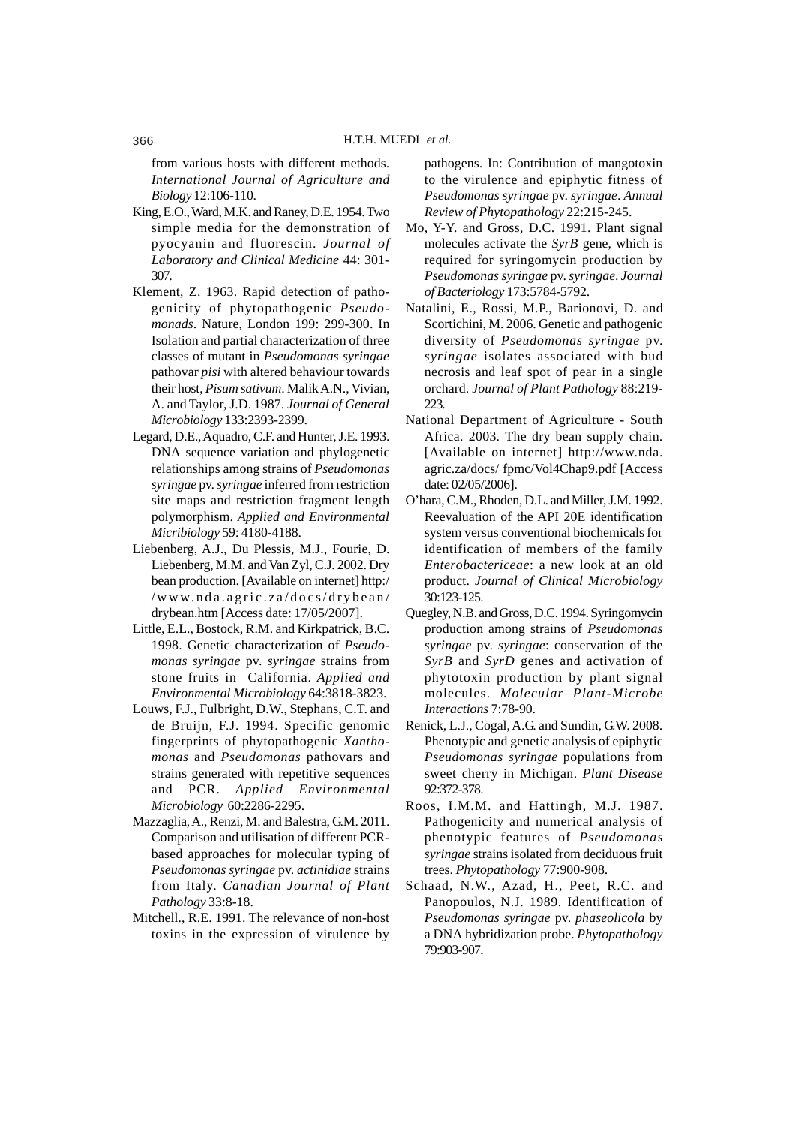from various hosts with different methods. *International Journal of Agriculture and Biology* 12:106-110.

- King, E.O., Ward, M.K. and Raney, D.E. 1954. Two simple media for the demonstration of pyocyanin and fluorescin. *Journal of Laboratory and Clinical Medicine* 44: 301- 307.
- Klement, Z. 1963. Rapid detection of pathogenicity of phytopathogenic *Pseudomonads*. Nature, London 199: 299-300. In Isolation and partial characterization of three classes of mutant in *Pseudomonas syringae* pathovar *pisi* with altered behaviour towards their host, *Pisum sativum*. Malik A.N., Vivian, A. and Taylor, J.D. 1987. *Journal of General Microbiology* 133:2393-2399.
- Legard, D.E., Aquadro, C.F. and Hunter, J.E. 1993. DNA sequence variation and phylogenetic relationships among strains of *Pseudomonas syringae* pv. *syringae* inferred from restriction site maps and restriction fragment length polymorphism. *Applied and Environmental Micribiology* 59: 4180-4188.
- Liebenberg, A.J., Du Plessis, M.J., Fourie, D. Liebenberg, M.M. and Van Zyl, C.J. 2002. Dry bean production. [Available on internet] http:/ /www.nda.agric.za/docs/drybean/ drybean.htm [Access date: 17/05/2007].
- Little, E.L., Bostock, R.M. and Kirkpatrick, B.C. 1998. Genetic characterization of *Pseudomonas syringae* pv. *syringae* strains from stone fruits in California. *Applied and Environmental Microbiology* 64:3818-3823.
- Louws, F.J., Fulbright, D.W., Stephans, C.T. and de Bruijn, F.J. 1994. Specific genomic fingerprints of phytopathogenic *Xanthomonas* and *Pseudomonas* pathovars and strains generated with repetitive sequences and PCR. *Applied Environmental Microbiology* 60:2286-2295.
- Mazzaglia, A., Renzi, M. and Balestra, G.M. 2011. Comparison and utilisation of different PCRbased approaches for molecular typing of *Pseudomonas syringae* pv. *actinidiae* strains from Italy. *Canadian Journal of Plant Pathology* 33:8-18.
- Mitchell., R.E. 1991. The relevance of non-host toxins in the expression of virulence by

pathogens. In: Contribution of mangotoxin to the virulence and epiphytic fitness of *Pseudomonas syringae* pv. *syringae*. *Annual Review of Phytopathology* 22:215-245.

- Mo, Y-Y. and Gross, D.C. 1991. Plant signal molecules activate the *SyrB* gene, which is required for syringomycin production by *Pseudomonas syringae* pv. *syringae*. *Journal of Bacteriology* 173:5784-5792.
- Natalini, E., Rossi, M.P., Barionovi, D. and Scortichini, M. 2006. Genetic and pathogenic diversity of *Pseudomonas syringae* pv. *syringae* isolates associated with bud necrosis and leaf spot of pear in a single orchard. *Journal of Plant Pathology* 88:219- 223.
- National Department of Agriculture South Africa. 2003. The dry bean supply chain. [Available on internet] http://www.nda. agric.za/docs/ fpmc/Vol4Chap9.pdf [Access date: 02/05/2006].
- O'hara, C.M., Rhoden, D.L. and Miller, J.M. 1992. Reevaluation of the API 20E identification system versus conventional biochemicals for identification of members of the family *Enterobactericeae*: a new look at an old product. *Journal of Clinical Microbiology* 30:123-125.
- Quegley, N.B. and Gross, D.C. 1994. Syringomycin production among strains of *Pseudomonas syringae* pv. *syringae*: conservation of the *SyrB* and *SyrD* genes and activation of phytotoxin production by plant signal molecules. *Molecular Plant-Microbe Interactions* 7:78-90.
- Renick, L.J., Cogal, A.G. and Sundin, G.W. 2008. Phenotypic and genetic analysis of epiphytic *Pseudomonas syringae* populations from sweet cherry in Michigan. *Plant Disease* 92:372-378.
- Roos, I.M.M. and Hattingh, M.J. 1987. Pathogenicity and numerical analysis of phenotypic features of *Pseudomonas syringae* strains isolated from deciduous fruit trees. *Phytopathology* 77:900-908.
- Schaad, N.W., Azad, H., Peet, R.C. and Panopoulos, N.J. 1989. Identification of *Pseudomonas syringae* pv. *phaseolicola* by a DNA hybridization probe. *Phytopathology* 79:903-907.